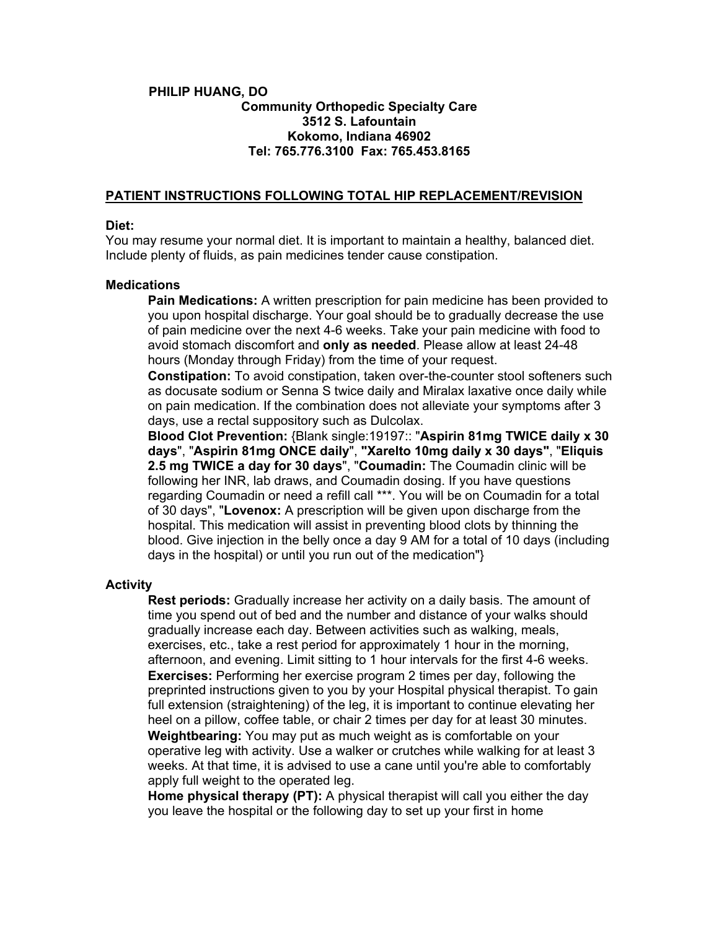# **PHILIP HUANG, DO Community Orthopedic Specialty Care 3512 S. Lafountain Kokomo, Indiana 46902 Tel: 765.776.3100 Fax: 765.453.8165**

# **PATIENT INSTRUCTIONS FOLLOWING TOTAL HIP REPLACEMENT/REVISION**

## **Diet:**

You may resume your normal diet. It is important to maintain a healthy, balanced diet. Include plenty of fluids, as pain medicines tender cause constipation.

### **Medications**

**Pain Medications:** A written prescription for pain medicine has been provided to you upon hospital discharge. Your goal should be to gradually decrease the use of pain medicine over the next 4-6 weeks. Take your pain medicine with food to avoid stomach discomfort and **only as needed**. Please allow at least 24-48 hours (Monday through Friday) from the time of your request.

**Constipation:** To avoid constipation, taken over-the-counter stool softeners such as docusate sodium or Senna S twice daily and Miralax laxative once daily while on pain medication. If the combination does not alleviate your symptoms after 3 days, use a rectal suppository such as Dulcolax.

**Blood Clot Prevention:** {Blank single:19197:: "**Aspirin 81mg TWICE daily x 30 days**", "**Aspirin 81mg ONCE daily**", **"Xarelto 10mg daily x 30 days"**, "**Eliquis 2.5 mg TWICE a day for 30 days**", "**Coumadin:** The Coumadin clinic will be following her INR, lab draws, and Coumadin dosing. If you have questions regarding Coumadin or need a refill call \*\*\*. You will be on Coumadin for a total of 30 days", "**Lovenox:** A prescription will be given upon discharge from the hospital. This medication will assist in preventing blood clots by thinning the blood. Give injection in the belly once a day 9 AM for a total of 10 days (including days in the hospital) or until you run out of the medication"}

# **Activity**

**Rest periods:** Gradually increase her activity on a daily basis. The amount of time you spend out of bed and the number and distance of your walks should gradually increase each day. Between activities such as walking, meals, exercises, etc., take a rest period for approximately 1 hour in the morning, afternoon, and evening. Limit sitting to 1 hour intervals for the first 4-6 weeks. **Exercises:** Performing her exercise program 2 times per day, following the preprinted instructions given to you by your Hospital physical therapist. To gain full extension (straightening) of the leg, it is important to continue elevating her heel on a pillow, coffee table, or chair 2 times per day for at least 30 minutes. **Weightbearing:** You may put as much weight as is comfortable on your operative leg with activity. Use a walker or crutches while walking for at least 3 weeks. At that time, it is advised to use a cane until you're able to comfortably apply full weight to the operated leg.

**Home physical therapy (PT):** A physical therapist will call you either the day you leave the hospital or the following day to set up your first in home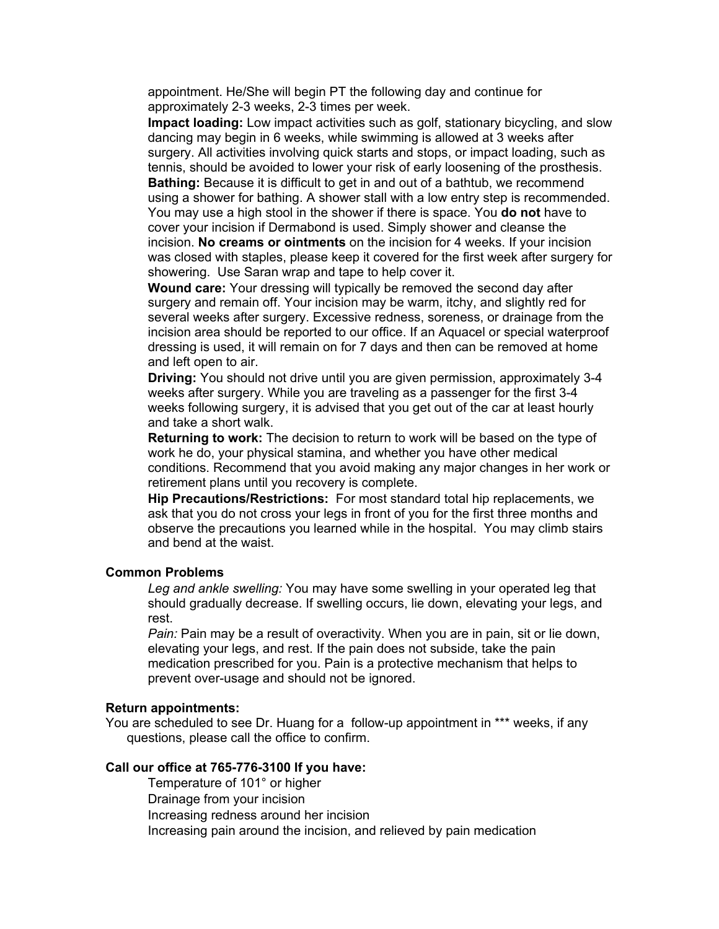appointment. He/She will begin PT the following day and continue for approximately 2-3 weeks, 2-3 times per week.

**Impact loading:** Low impact activities such as golf, stationary bicycling, and slow dancing may begin in 6 weeks, while swimming is allowed at 3 weeks after surgery. All activities involving quick starts and stops, or impact loading, such as tennis, should be avoided to lower your risk of early loosening of the prosthesis.

**Bathing:** Because it is difficult to get in and out of a bathtub, we recommend using a shower for bathing. A shower stall with a low entry step is recommended. You may use a high stool in the shower if there is space. You **do not** have to cover your incision if Dermabond is used. Simply shower and cleanse the incision. **No creams or ointments** on the incision for 4 weeks. If your incision was closed with staples, please keep it covered for the first week after surgery for showering. Use Saran wrap and tape to help cover it.

**Wound care:** Your dressing will typically be removed the second day after surgery and remain off. Your incision may be warm, itchy, and slightly red for several weeks after surgery. Excessive redness, soreness, or drainage from the incision area should be reported to our office. If an Aquacel or special waterproof dressing is used, it will remain on for 7 days and then can be removed at home and left open to air.

**Driving:** You should not drive until you are given permission, approximately 3-4 weeks after surgery. While you are traveling as a passenger for the first 3-4 weeks following surgery, it is advised that you get out of the car at least hourly and take a short walk.

**Returning to work:** The decision to return to work will be based on the type of work he do, your physical stamina, and whether you have other medical conditions. Recommend that you avoid making any major changes in her work or retirement plans until you recovery is complete.

**Hip Precautions/Restrictions:** For most standard total hip replacements, we ask that you do not cross your legs in front of you for the first three months and observe the precautions you learned while in the hospital. You may climb stairs and bend at the waist.

#### **Common Problems**

*Leg and ankle swelling:* You may have some swelling in your operated leg that should gradually decrease. If swelling occurs, lie down, elevating your legs, and rest.

*Pain:* Pain may be a result of overactivity. When you are in pain, sit or lie down, elevating your legs, and rest. If the pain does not subside, take the pain medication prescribed for you. Pain is a protective mechanism that helps to prevent over-usage and should not be ignored.

#### **Return appointments:**

You are scheduled to see Dr. Huang for a follow-up appointment in \*\*\* weeks, if any questions, please call the office to confirm.

## **Call our office at 765-776-3100 If you have:**

Temperature of 101° or higher Drainage from your incision Increasing redness around her incision Increasing pain around the incision, and relieved by pain medication